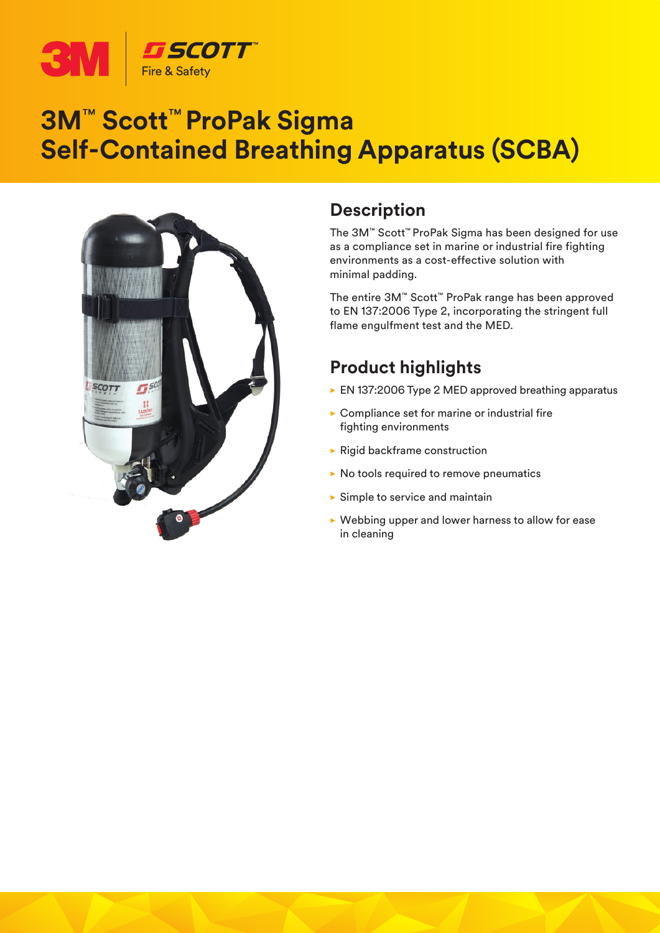

### **3M**™ **Scott**™ **ProPak Sigma Self-Contained Breathing Apparatus (SCBA)**



#### **Description**

The 3M™ Scott™ ProPak Sigma has been designed for use as a compliance set in marine or industrial fire fighting environments as a cost-effective solution with minimal padding.

The entire 3M™ Scott™ ProPak range has been approved to EN 137:2006 Type 2, incorporating the stringent full flame engulfment test and the MED.

### **Product highlights**

- $\triangleright$  EN 137:2006 Type 2 MED approved breathing apparatus
- $\triangleright$  Compliance set for marine or industrial fire fighting environments
- $\blacktriangleright$  Rigid backframe construction
- $\triangleright$  No tools required to remove pneumatics
- $\blacktriangleright$  Simple to service and maintain
- $\triangleright$  Webbing upper and lower harness to allow for ease in cleaning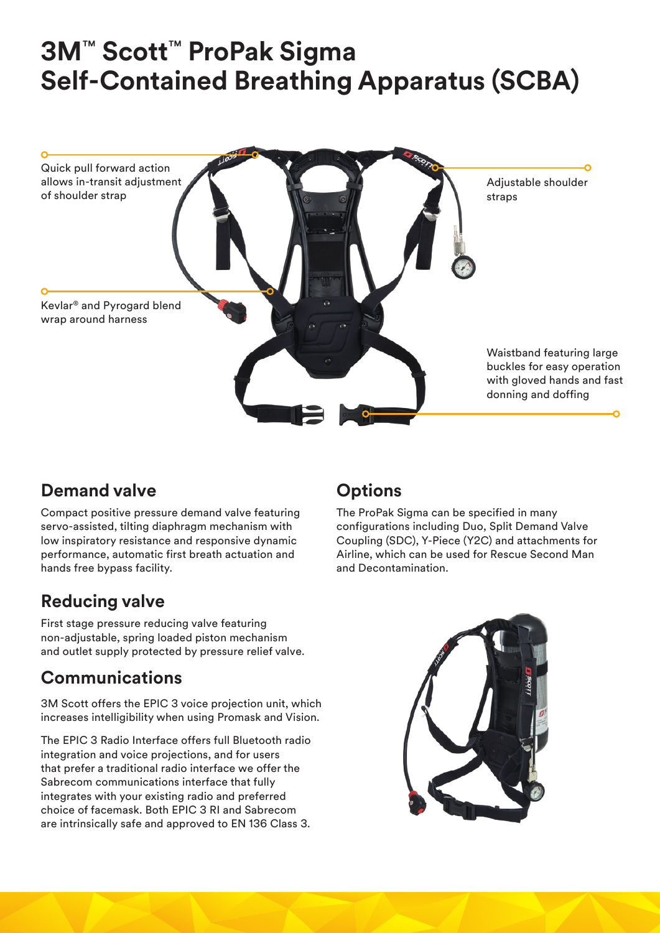# **3M**™ **Scott**™ **ProPak Sigma Self-Contained Breathing Apparatus (SCBA)**



#### **Demand valve**

Compact positive pressure demand valve featuring servo-assisted, tilting diaphragm mechanism with low inspiratory resistance and responsive dynamic performance, automatic first breath actuation and hands free bypass facility.

#### **Reducing valve**

First stage pressure reducing valve featuring non-adjustable, spring loaded piston mechanism and outlet supply protected by pressure relief valve.

#### **Communications**

3M Scott offers the EPIC 3 voice projection unit, which increases intelligibility when using Promask and Vision.

The EPIC 3 Radio Interface offers full Bluetooth radio integration and voice projections, and for users that prefer a traditional radio interface we offer the Sabrecom communications interface that fully integrates with your existing radio and preferred choice of facemask. Both EPIC 3 RI and Sabrecom are intrinsically safe and approved to EN 136 Class 3.

#### **Options**

The ProPak Sigma can be specified in many configurations including Duo, Split Demand Valve Coupling (SDC), Y-Piece (Y2C) and attachments for Airline, which can be used for Rescue Second Man and Decontamination.